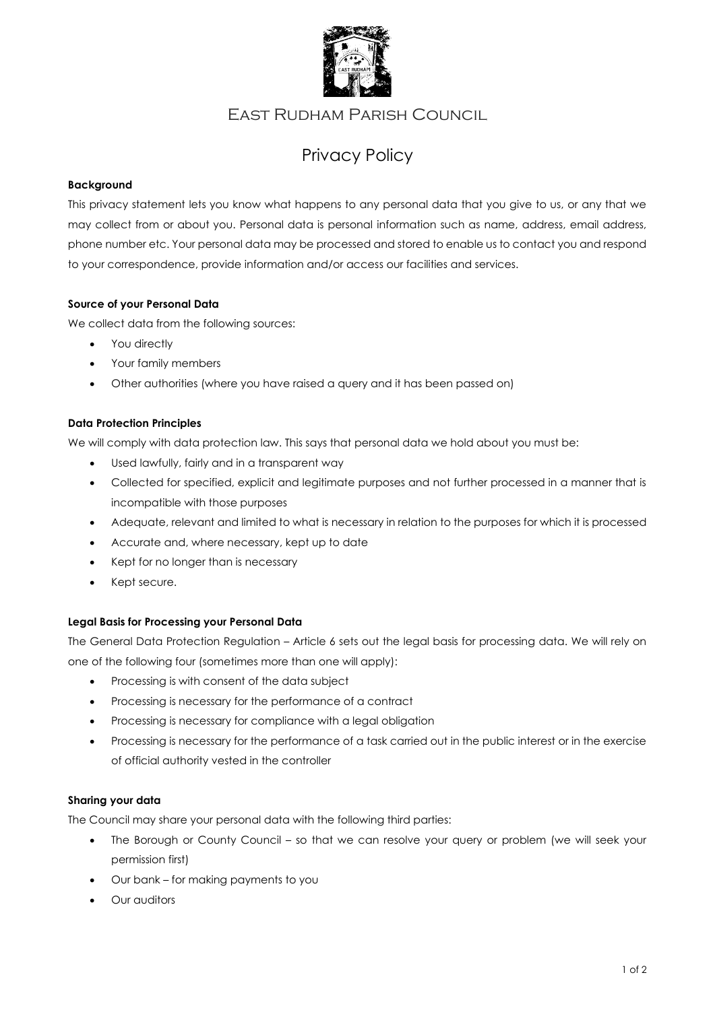

# East Rudham Parish Council

# Privacy Policy

# **Background**

This privacy statement lets you know what happens to any personal data that you give to us, or any that we may collect from or about you. Personal data is personal information such as name, address, email address, phone number etc. Your personal data may be processed and stored to enable us to contact you and respond to your correspondence, provide information and/or access our facilities and services.

#### **Source of your Personal Data**

We collect data from the following sources:

- You directly
- Your family members
- Other authorities (where you have raised a query and it has been passed on)

#### **Data Protection Principles**

We will comply with data protection law. This says that personal data we hold about you must be:

- Used lawfully, fairly and in a transparent way
- Collected for specified, explicit and legitimate purposes and not further processed in a manner that is incompatible with those purposes
- Adequate, relevant and limited to what is necessary in relation to the purposes for which it is processed
- Accurate and, where necessary, kept up to date
- Kept for no longer than is necessary
- Kept secure.

#### **Legal Basis for Processing your Personal Data**

The General Data Protection Regulation – Article 6 sets out the legal basis for processing data. We will rely on one of the following four (sometimes more than one will apply):

- Processing is with consent of the data subject
- Processing is necessary for the performance of a contract
- Processing is necessary for compliance with a legal obligation
- Processing is necessary for the performance of a task carried out in the public interest or in the exercise of official authority vested in the controller

#### **Sharing your data**

The Council may share your personal data with the following third parties:

- The Borough or County Council so that we can resolve your query or problem (we will seek your permission first)
- Our bank for making payments to you
- Our auditors